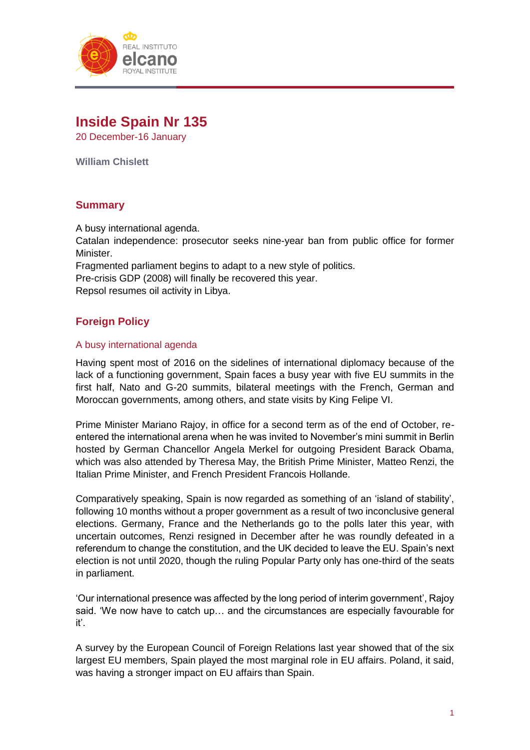

# **Inside Spain Nr 135**

20 December-16 January

**William Chislett**

# **Summary**

A busy international agenda.

Catalan independence: prosecutor seeks nine-year ban from public office for former Minister.

Fragmented parliament begins to adapt to a new style of politics.

Pre-crisis GDP (2008) will finally be recovered this year.

Repsol resumes oil activity in Libya.

# **Foreign Policy**

### A busy international agenda

Having spent most of 2016 on the sidelines of international diplomacy because of the lack of a functioning government, Spain faces a busy year with five EU summits in the first half, Nato and G-20 summits, bilateral meetings with the French, German and Moroccan governments, among others, and state visits by King Felipe VI.

Prime Minister Mariano Rajoy, in office for a second term as of the end of October, reentered the international arena when he was invited to November's mini summit in Berlin hosted by German Chancellor Angela Merkel for outgoing President Barack Obama, which was also attended by Theresa May, the British Prime Minister, Matteo Renzi, the Italian Prime Minister, and French President Francois Hollande.

Comparatively speaking, Spain is now regarded as something of an 'island of stability', following 10 months without a proper government as a result of two inconclusive general elections. Germany, France and the Netherlands go to the polls later this year, with uncertain outcomes, Renzi resigned in December after he was roundly defeated in a referendum to change the constitution, and the UK decided to leave the EU. Spain's next election is not until 2020, though the ruling Popular Party only has one-third of the seats in parliament.

'Our international presence was affected by the long period of interim government', Rajoy said. 'We now have to catch up… and the circumstances are especially favourable for it'.

A survey by the European Council of Foreign Relations last year showed that of the six largest EU members, Spain played the most marginal role in EU affairs. Poland, it said, was having a stronger impact on EU affairs than Spain.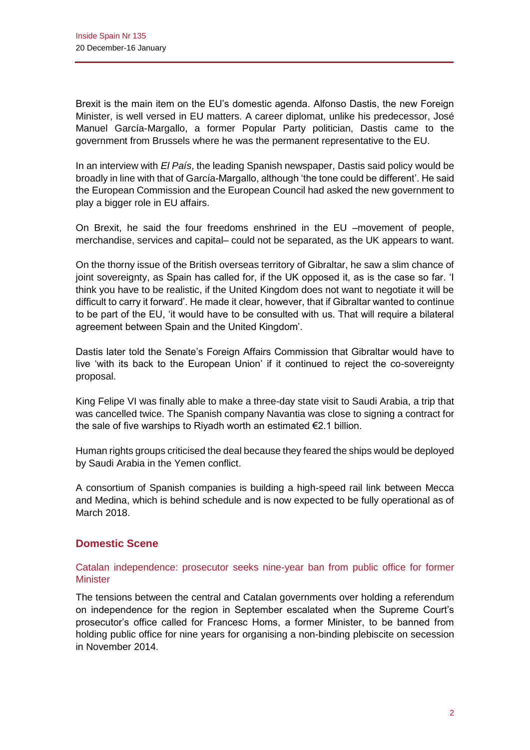Brexit is the main item on the EU's domestic agenda. Alfonso Dastis, the new Foreign Minister, is well versed in EU matters. A career diplomat, unlike his predecessor, José Manuel García-Margallo, a former Popular Party politician, Dastis came to the government from Brussels where he was the permanent representative to the EU.

In an interview with *El País*, the leading Spanish newspaper, Dastis said policy would be broadly in line with that of García-Margallo, although 'the tone could be different'. He said the European Commission and the European Council had asked the new government to play a bigger role in EU affairs.

On Brexit, he said the four freedoms enshrined in the EU –movement of people, merchandise, services and capital– could not be separated, as the UK appears to want.

On the thorny issue of the British overseas territory of Gibraltar, he saw a slim chance of joint sovereignty, as Spain has called for, if the UK opposed it, as is the case so far. 'I think you have to be realistic, if the United Kingdom does not want to negotiate it will be difficult to carry it forward'. He made it clear, however, that if Gibraltar wanted to continue to be part of the EU, 'it would have to be consulted with us. That will require a bilateral agreement between Spain and the United Kingdom'.

Dastis later told the Senate's Foreign Affairs Commission that Gibraltar would have to live 'with its back to the European Union' if it continued to reject the co-sovereignty proposal.

King Felipe VI was finally able to make a three-day state visit to Saudi Arabia, a trip that was cancelled twice. The Spanish company Navantia was close to signing a contract for the sale of five warships to Riyadh worth an estimated €2.1 billion.

Human rights groups criticised the deal because they feared the ships would be deployed by Saudi Arabia in the Yemen conflict.

A consortium of Spanish companies is building a high-speed rail link between Mecca and Medina, which is behind schedule and is now expected to be fully operational as of March 2018.

# **Domestic Scene**

# Catalan independence: prosecutor seeks nine-year ban from public office for former **Minister**

The tensions between the central and Catalan governments over holding a referendum on independence for the region in September escalated when the Supreme Court's prosecutor's office called for Francesc Homs, a former Minister, to be banned from holding public office for nine years for organising a non-binding plebiscite on secession in November 2014.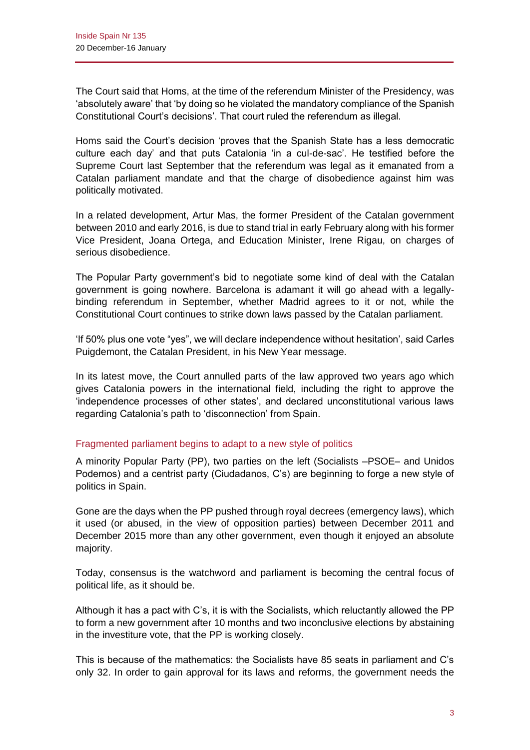The Court said that Homs, at the time of the referendum Minister of the Presidency, was 'absolutely aware' that 'by doing so he violated the mandatory compliance of the Spanish Constitutional Court's decisions'. That court ruled the referendum as illegal.

Homs said the Court's decision 'proves that the Spanish State has a less democratic culture each day' and that puts Catalonia 'in a cul-de-sac'. He testified before the Supreme Court last September that the referendum was legal as it emanated from a Catalan parliament mandate and that the charge of disobedience against him was politically motivated.

In a related development, Artur Mas, the former President of the Catalan government between 2010 and early 2016, is due to stand trial in early February along with his former Vice President, Joana Ortega, and Education Minister, Irene Rigau, on charges of serious disobedience.

The Popular Party government's bid to negotiate some kind of deal with the Catalan government is going nowhere. Barcelona is adamant it will go ahead with a legallybinding referendum in September, whether Madrid agrees to it or not, while the Constitutional Court continues to strike down laws passed by the Catalan parliament.

'If 50% plus one vote "yes", we will declare independence without hesitation', said Carles Puigdemont, the Catalan President, in his New Year message.

In its latest move, the Court annulled parts of the law approved two years ago which gives Catalonia powers in the international field, including the right to approve the 'independence processes of other states', and declared unconstitutional various laws regarding Catalonia's path to 'disconnection' from Spain.

## Fragmented parliament begins to adapt to a new style of politics

A minority Popular Party (PP), two parties on the left (Socialists –PSOE– and Unidos Podemos) and a centrist party (Ciudadanos, C's) are beginning to forge a new style of politics in Spain.

Gone are the days when the PP pushed through royal decrees (emergency laws), which it used (or abused, in the view of opposition parties) between December 2011 and December 2015 more than any other government, even though it enjoyed an absolute majority.

Today, consensus is the watchword and parliament is becoming the central focus of political life, as it should be.

Although it has a pact with C's, it is with the Socialists, which reluctantly allowed the PP to form a new government after 10 months and two inconclusive elections by abstaining in the investiture vote, that the PP is working closely.

This is because of the mathematics: the Socialists have 85 seats in parliament and C's only 32. In order to gain approval for its laws and reforms, the government needs the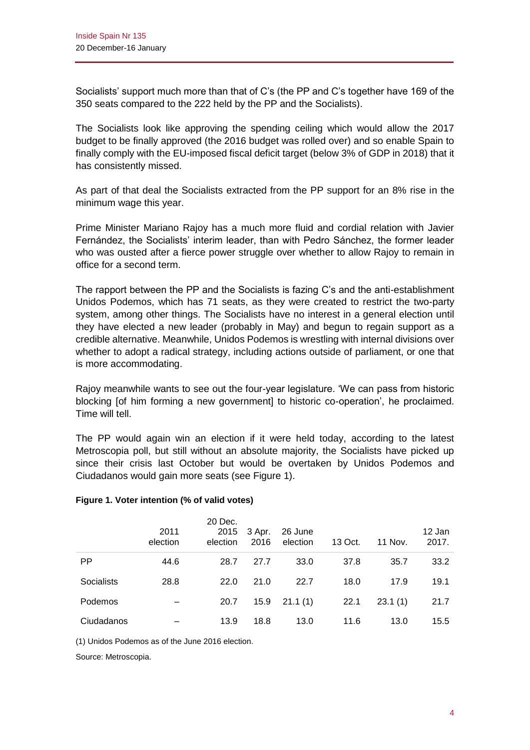Socialists' support much more than that of C's (the PP and C's together have 169 of the 350 seats compared to the 222 held by the PP and the Socialists).

The Socialists look like approving the spending ceiling which would allow the 2017 budget to be finally approved (the 2016 budget was rolled over) and so enable Spain to finally comply with the EU-imposed fiscal deficit target (below 3% of GDP in 2018) that it has consistently missed.

As part of that deal the Socialists extracted from the PP support for an 8% rise in the minimum wage this year.

Prime Minister Mariano Rajoy has a much more fluid and cordial relation with Javier Fernández, the Socialists' interim leader, than with Pedro Sánchez, the former leader who was ousted after a fierce power struggle over whether to allow Rajoy to remain in office for a second term.

The rapport between the PP and the Socialists is fazing C's and the anti-establishment Unidos Podemos, which has 71 seats, as they were created to restrict the two-party system, among other things. The Socialists have no interest in a general election until they have elected a new leader (probably in May) and begun to regain support as a credible alternative. Meanwhile, Unidos Podemos is wrestling with internal divisions over whether to adopt a radical strategy, including actions outside of parliament, or one that is more accommodating.

Rajoy meanwhile wants to see out the four-year legislature. 'We can pass from historic blocking [of him forming a new government] to historic co-operation', he proclaimed. Time will tell.

The PP would again win an election if it were held today, according to the latest Metroscopia poll, but still without an absolute majority, the Socialists have picked up since their crisis last October but would be overtaken by Unidos Podemos and Ciudadanos would gain more seats (see Figure 1).

#### **Figure 1. Voter intention (% of valid votes)**

|                   | 2011<br>election | 20 Dec.<br>2015<br>election | 3 Apr.<br>2016 | 26 June<br>election | 13 Oct. | <b>11 Nov.</b> | 12 Jan<br>2017. |
|-------------------|------------------|-----------------------------|----------------|---------------------|---------|----------------|-----------------|
| <b>PP</b>         | 44.6             | 28.7                        | 27.7           | 33.0                | 37.8    | 35.7           | 33.2            |
| <b>Socialists</b> | 28.8             | 22.0                        | 21.0           | 22.7                | 18.0    | 17.9           | 19.1            |
| Podemos           |                  | 20.7                        | 15.9           | 21.1(1)             | 22.1    | 23.1(1)        | 21.7            |
| Ciudadanos        |                  | 13.9                        | 18.8           | 13.0                | 11.6    | 13.0           | 15.5            |

(1) Unidos Podemos as of the June 2016 election.

Source: Metroscopia.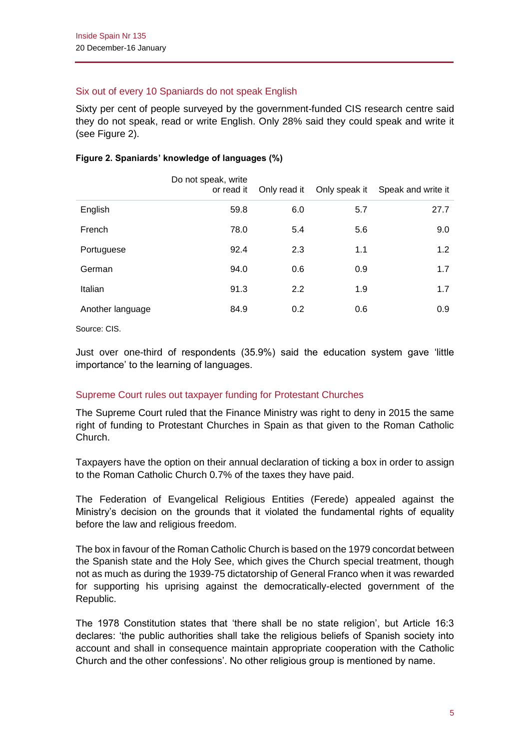# Six out of every 10 Spaniards do not speak English

Sixty per cent of people surveyed by the government-funded CIS research centre said they do not speak, read or write English. Only 28% said they could speak and write it (see Figure 2).

#### **Figure 2. Spaniards' knowledge of languages (%)**

|                  | Do not speak, write<br>or read it | Only read it | Only speak it | Speak and write it |
|------------------|-----------------------------------|--------------|---------------|--------------------|
| English          | 59.8                              | 6.0          | 5.7           | 27.7               |
| French           | 78.0                              | 5.4          | 5.6           | 9.0                |
| Portuguese       | 92.4                              | 2.3          | 1.1           | 1.2                |
| German           | 94.0                              | 0.6          | 0.9           | 1.7                |
| Italian          | 91.3                              | 2.2          | 1.9           | 1.7                |
| Another language | 84.9                              | 0.2          | 0.6           | 0.9                |

Source: CIS.

Just over one-third of respondents (35.9%) said the education system gave 'little importance' to the learning of languages.

# Supreme Court rules out taxpayer funding for Protestant Churches

The Supreme Court ruled that the Finance Ministry was right to deny in 2015 the same right of funding to Protestant Churches in Spain as that given to the Roman Catholic Church.

Taxpayers have the option on their annual declaration of ticking a box in order to assign to the Roman Catholic Church 0.7% of the taxes they have paid.

The Federation of Evangelical Religious Entities (Ferede) appealed against the Ministry's decision on the grounds that it violated the fundamental rights of equality before the law and religious freedom.

The box in favour of the Roman Catholic Church is based on the 1979 concordat between the Spanish state and the Holy See, which gives the Church special treatment, though not as much as during the 1939-75 dictatorship of General Franco when it was rewarded for supporting his uprising against the democratically-elected government of the Republic.

The 1978 Constitution states that 'there shall be no state religion', but Article 16:3 declares: 'the public authorities shall take the religious beliefs of Spanish society into account and shall in consequence maintain appropriate cooperation with the Catholic Church and the other confessions'. No other religious group is mentioned by name.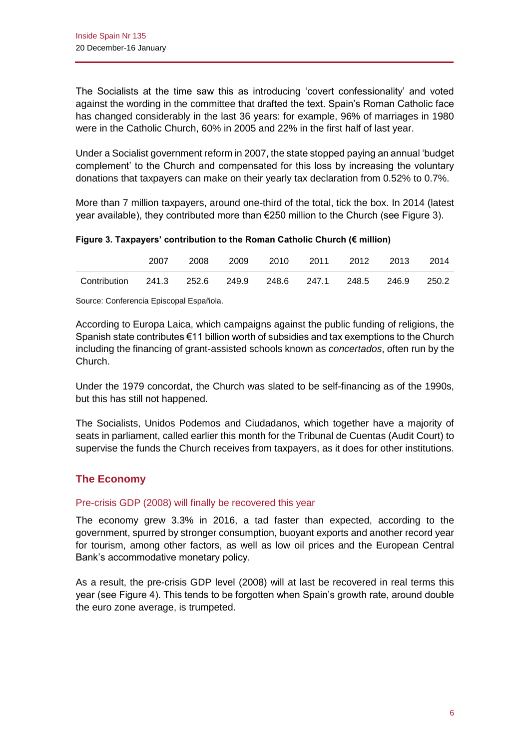The Socialists at the time saw this as introducing 'covert confessionality' and voted against the wording in the committee that drafted the text. Spain's Roman Catholic face has changed considerably in the last 36 years: for example, 96% of marriages in 1980 were in the Catholic Church, 60% in 2005 and 22% in the first half of last year.

Under a Socialist government reform in 2007, the state stopped paying an annual 'budget complement' to the Church and compensated for this loss by increasing the voluntary donations that taxpayers can make on their yearly tax declaration from 0.52% to 0.7%.

More than 7 million taxpayers, around one-third of the total, tick the box. In 2014 (latest year available), they contributed more than €250 million to the Church (see Figure 3).

**Figure 3. Taxpayers' contribution to the Roman Catholic Church (€ million)**

|                                                              | 2007 |  | 2008 2009 2010 2011 2012 2013 2014 |  |  |
|--------------------------------------------------------------|------|--|------------------------------------|--|--|
| Contribution 241.3 252.6 249.9 248.6 247.1 248.5 246.9 250.2 |      |  |                                    |  |  |

Source: Conferencia Episcopal Española.

According to Europa Laica, which campaigns against the public funding of religions, the Spanish state contributes €11 billion worth of subsidies and tax exemptions to the Church including the financing of grant-assisted schools known as *concertados*, often run by the Church.

Under the 1979 concordat, the Church was slated to be self-financing as of the 1990s, but this has still not happened.

The Socialists, Unidos Podemos and Ciudadanos, which together have a majority of seats in parliament, called earlier this month for the Tribunal de Cuentas (Audit Court) to supervise the funds the Church receives from taxpayers, as it does for other institutions.

# **The Economy**

### Pre-crisis GDP (2008) will finally be recovered this year

The economy grew 3.3% in 2016, a tad faster than expected, according to the government, spurred by stronger consumption, buoyant exports and another record year for tourism, among other factors, as well as low oil prices and the European Central Bank's accommodative monetary policy.

As a result, the pre-crisis GDP level (2008) will at last be recovered in real terms this year (see Figure 4). This tends to be forgotten when Spain's growth rate, around double the euro zone average, is trumpeted.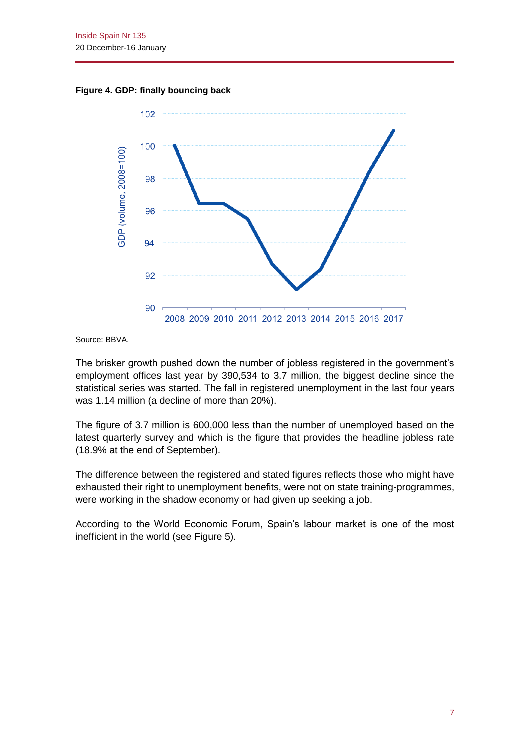**Figure 4. GDP: finally bouncing back**



Source: BBVA.

The brisker growth pushed down the number of jobless registered in the government's employment offices last year by 390,534 to 3.7 million, the biggest decline since the statistical series was started. The fall in registered unemployment in the last four years was 1.14 million (a decline of more than 20%).

The figure of 3.7 million is 600,000 less than the number of unemployed based on the latest quarterly survey and which is the figure that provides the headline jobless rate (18.9% at the end of September).

The difference between the registered and stated figures reflects those who might have exhausted their right to unemployment benefits, were not on state training-programmes, were working in the shadow economy or had given up seeking a job.

According to the World Economic Forum, Spain's labour market is one of the most inefficient in the world (see Figure 5).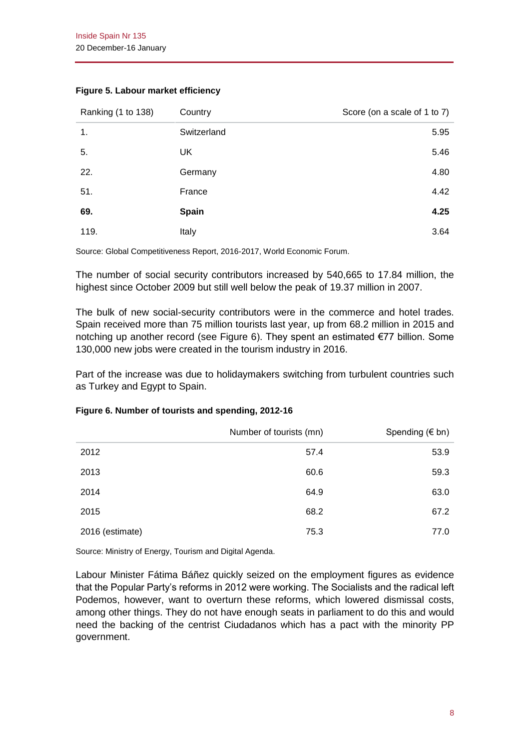| Ranking (1 to 138) | Country      | Score (on a scale of 1 to 7) |
|--------------------|--------------|------------------------------|
| 1.                 | Switzerland  | 5.95                         |
| 5.                 | UK           | 5.46                         |
| 22.                | Germany      | 4.80                         |
| 51.                | France       | 4.42                         |
| 69.                | <b>Spain</b> | 4.25                         |
| 119.               | Italy        | 3.64                         |

#### **Figure 5. Labour market efficiency**

Source: Global Competitiveness Report, 2016-2017, World Economic Forum.

The number of social security contributors increased by 540,665 to 17.84 million, the highest since October 2009 but still well below the peak of 19.37 million in 2007.

The bulk of new social-security contributors were in the commerce and hotel trades. Spain received more than 75 million tourists last year, up from 68.2 million in 2015 and notching up another record (see Figure 6). They spent an estimated €77 billion. Some 130,000 new jobs were created in the tourism industry in 2016.

Part of the increase was due to holidaymakers switching from turbulent countries such as Turkey and Egypt to Spain.

#### **Figure 6. Number of tourists and spending, 2012-16**

|                 | Number of tourists (mn) | Spending ( $\notin$ bn) |
|-----------------|-------------------------|-------------------------|
| 2012            | 57.4                    | 53.9                    |
| 2013            | 60.6                    | 59.3                    |
| 2014            | 64.9                    | 63.0                    |
| 2015            | 68.2                    | 67.2                    |
| 2016 (estimate) | 75.3                    | 77.0                    |

Source: Ministry of Energy, Tourism and Digital Agenda.

Labour Minister Fátima Báñez quickly seized on the employment figures as evidence that the Popular Party's reforms in 2012 were working. The Socialists and the radical left Podemos, however, want to overturn these reforms, which lowered dismissal costs, among other things. They do not have enough seats in parliament to do this and would need the backing of the centrist Ciudadanos which has a pact with the minority PP government.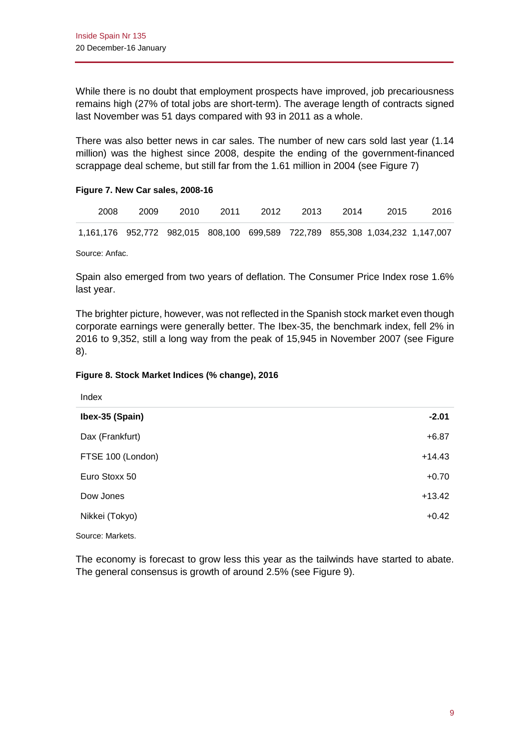While there is no doubt that employment prospects have improved, job precariousness remains high (27% of total jobs are short-term). The average length of contracts signed last November was 51 days compared with 93 in 2011 as a whole.

There was also better news in car sales. The number of new cars sold last year (1.14 million) was the highest since 2008, despite the ending of the government-financed scrappage deal scheme, but still far from the 1.61 million in 2004 (see Figure 7)

#### **Figure 7. New Car sales, 2008-16**

| 2008                                                                          | 2009 | 2010 | 2011 | 2012 | 2013 | 2014 | -2015 | 2016 |
|-------------------------------------------------------------------------------|------|------|------|------|------|------|-------|------|
| 1,161,176 952,772 982,015 808,100 699,589 722,789 855,308 1,034,232 1,147,007 |      |      |      |      |      |      |       |      |

Source: Anfac.

Spain also emerged from two years of deflation. The Consumer Price Index rose 1.6% last year.

The brighter picture, however, was not reflected in the Spanish stock market even though corporate earnings were generally better. The Ibex-35, the benchmark index, fell 2% in 2016 to 9,352, still a long way from the peak of 15,945 in November 2007 (see Figure 8).

#### **Figure 8. Stock Market Indices (% change), 2016**

| Index             |          |
|-------------------|----------|
| Ibex-35 (Spain)   | $-2.01$  |
| Dax (Frankfurt)   | $+6.87$  |
| FTSE 100 (London) | $+14.43$ |
| Euro Stoxx 50     | $+0.70$  |
| Dow Jones         | $+13.42$ |
| Nikkei (Tokyo)    | $+0.42$  |

Source: Markets.

The economy is forecast to grow less this year as the tailwinds have started to abate. The general consensus is growth of around 2.5% (see Figure 9).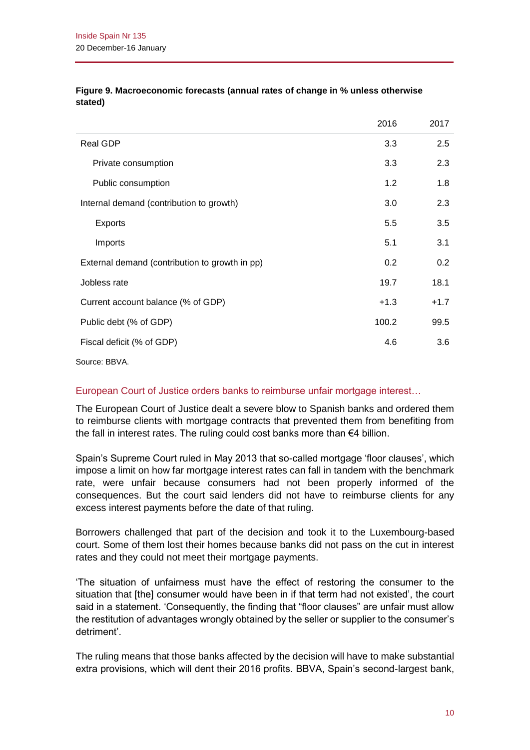|                                                | 2016   | 2017   |
|------------------------------------------------|--------|--------|
| Real GDP                                       | 3.3    | 2.5    |
| Private consumption                            | 3.3    | 2.3    |
| Public consumption                             | 1.2    | 1.8    |
| Internal demand (contribution to growth)       | 3.0    | 2.3    |
| <b>Exports</b>                                 | 5.5    | 3.5    |
| Imports                                        | 5.1    | 3.1    |
| External demand (contribution to growth in pp) | 0.2    | 0.2    |
| Jobless rate                                   | 19.7   | 18.1   |
| Current account balance (% of GDP)             | $+1.3$ | $+1.7$ |
| Public debt (% of GDP)                         | 100.2  | 99.5   |
| Fiscal deficit (% of GDP)                      | 4.6    | 3.6    |
|                                                |        |        |

#### **Figure 9. Macroeconomic forecasts (annual rates of change in % unless otherwise stated)**

Source: BBVA.

# European Court of Justice orders banks to reimburse unfair mortgage interest…

The European Court of Justice dealt a severe blow to Spanish banks and ordered them to reimburse clients with mortgage contracts that prevented them from benefiting from the fall in interest rates. The ruling could cost banks more than €4 billion.

Spain's Supreme Court ruled in May 2013 that so-called mortgage 'floor clauses', which impose a limit on how far mortgage interest rates can fall in tandem with the benchmark rate, were unfair because consumers had not been properly informed of the consequences. But the court said lenders did not have to reimburse clients for any excess interest payments before the date of that ruling.

Borrowers challenged that part of the decision and took it to the Luxembourg-based court. Some of them lost their homes because banks did not pass on the cut in interest rates and they could not meet their mortgage payments.

'The situation of unfairness must have the effect of restoring the consumer to the situation that [the] consumer would have been in if that term had not existed', the court said in a statement. 'Consequently, the finding that "floor clauses" are unfair must allow the restitution of advantages wrongly obtained by the seller or supplier to the consumer's detriment'.

The ruling means that those banks affected by the decision will have to make substantial extra provisions, which will dent their 2016 profits. BBVA, Spain's second-largest bank,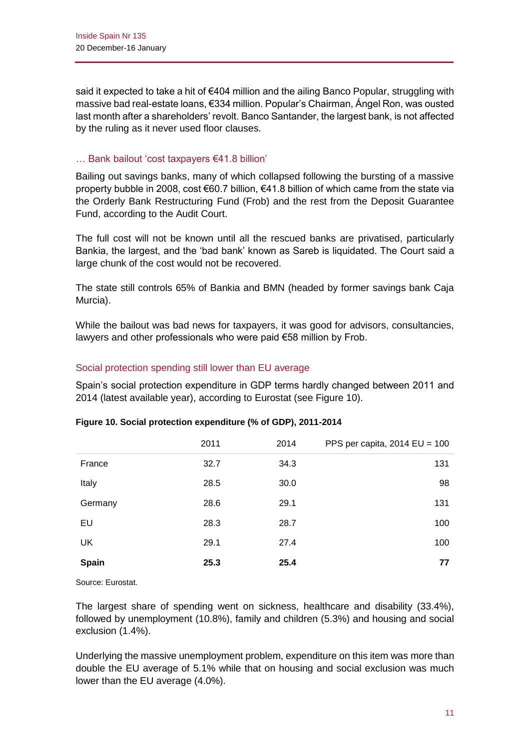said it expected to take a hit of €404 million and the ailing Banco Popular, struggling with massive bad real-estate loans, €334 million. Popular's Chairman, Ángel Ron, was ousted last month after a shareholders' revolt. Banco Santander, the largest bank, is not affected by the ruling as it never used floor clauses.

### … Bank bailout 'cost taxpayers €41.8 billion'

Bailing out savings banks, many of which collapsed following the bursting of a massive property bubble in 2008, cost €60.7 billion, €41.8 billion of which came from the state via the Orderly Bank Restructuring Fund (Frob) and the rest from the Deposit Guarantee Fund, according to the Audit Court.

The full cost will not be known until all the rescued banks are privatised, particularly Bankia, the largest, and the 'bad bank' known as Sareb is liquidated. The Court said a large chunk of the cost would not be recovered.

The state still controls 65% of Bankia and BMN (headed by former savings bank Caja Murcia).

While the bailout was bad news for taxpayers, it was good for advisors, consultancies, lawyers and other professionals who were paid €58 million by Frob.

### Social protection spending still lower than EU average

Spain's social protection expenditure in GDP terms hardly changed between 2011 and 2014 (latest available year), according to Eurostat (see Figure 10).

|              | 2011 | 2014 | PPS per capita, $2014$ EU = $100$ |
|--------------|------|------|-----------------------------------|
| France       | 32.7 | 34.3 | 131                               |
| Italy        | 28.5 | 30.0 | 98                                |
| Germany      | 28.6 | 29.1 | 131                               |
| EU           | 28.3 | 28.7 | 100                               |
| UK           | 29.1 | 27.4 | 100                               |
| <b>Spain</b> | 25.3 | 25.4 | 77                                |

#### **Figure 10. Social protection expenditure (% of GDP), 2011-2014**

Source: Eurostat.

The largest share of spending went on sickness, healthcare and disability (33.4%), followed by unemployment (10.8%), family and children (5.3%) and housing and social exclusion (1.4%).

Underlying the massive unemployment problem, expenditure on this item was more than double the EU average of 5.1% while that on housing and social exclusion was much lower than the EU average (4.0%).